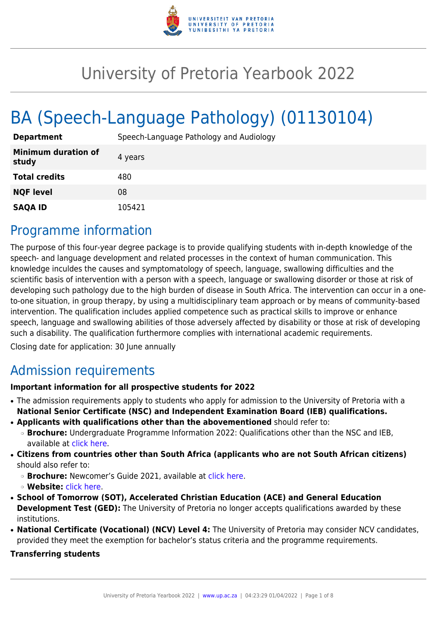

# University of Pretoria Yearbook 2022

# BA (Speech-Language Pathology) (01130104)

| <b>Department</b>                   | Speech-Language Pathology and Audiology |
|-------------------------------------|-----------------------------------------|
| <b>Minimum duration of</b><br>study | 4 years                                 |
| <b>Total credits</b>                | 480                                     |
| <b>NQF level</b>                    | 08                                      |
| <b>SAQA ID</b>                      | 105421                                  |

### Programme information

The purpose of this four-year degree package is to provide qualifying students with in-depth knowledge of the speech- and language development and related processes in the context of human communication. This knowledge inculdes the causes and symptomatology of speech, language, swallowing difficulties and the scientific basis of intervention with a person with a speech, language or swallowing disorder or those at risk of developing such pathology due to the high burden of disease in South Africa. The intervention can occur in a oneto-one situation, in group therapy, by using a multidisciplinary team approach or by means of community-based intervention. The qualification includes applied competence such as practical skills to improve or enhance speech, language and swallowing abilities of those adversely affected by disability or those at risk of developing such a disability. The qualification furthermore complies with international academic requirements.

Closing date for application: 30 June annually

# Admission requirements

#### **Important information for all prospective students for 2022**

- The admission requirements apply to students who apply for admission to the University of Pretoria with a **National Senior Certificate (NSC) and Independent Examination Board (IEB) qualifications.**
- **Applicants with qualifications other than the abovementioned** should refer to:
	- ❍ **Brochure:** Undergraduate Programme Information 2022: Qualifications other than the NSC and IEB, available at [click here.](https://www.up.ac.za/students/article/2749263/admission-information)
- **Citizens from countries other than South Africa (applicants who are not South African citizens)** should also refer to:
	- ❍ **Brochure:** Newcomer's Guide 2021, available at [click here.](https://www.up.ac.za/students/article/2749263/admission-information)
	- ❍ **Website:** [click here](http://www.up.ac.za/international-cooperation-division).
- **School of Tomorrow (SOT), Accelerated Christian Education (ACE) and General Education Development Test (GED):** The University of Pretoria no longer accepts qualifications awarded by these institutions.
- **National Certificate (Vocational) (NCV) Level 4:** The University of Pretoria may consider NCV candidates, provided they meet the exemption for bachelor's status criteria and the programme requirements.

#### **Transferring students**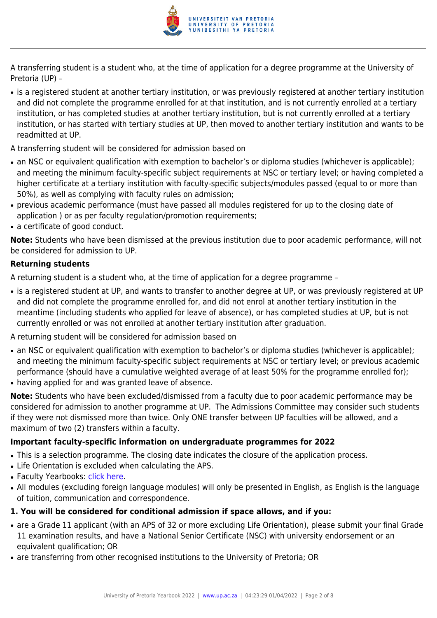

A transferring student is a student who, at the time of application for a degree programme at the University of Pretoria (UP) –

- is a registered student at another tertiary institution, or was previously registered at another tertiary institution and did not complete the programme enrolled for at that institution, and is not currently enrolled at a tertiary institution, or has completed studies at another tertiary institution, but is not currently enrolled at a tertiary institution, or has started with tertiary studies at UP, then moved to another tertiary institution and wants to be readmitted at UP.
- A transferring student will be considered for admission based on
- an NSC or equivalent qualification with exemption to bachelor's or diploma studies (whichever is applicable); and meeting the minimum faculty-specific subject requirements at NSC or tertiary level; or having completed a higher certificate at a tertiary institution with faculty-specific subjects/modules passed (equal to or more than 50%), as well as complying with faculty rules on admission;
- previous academic performance (must have passed all modules registered for up to the closing date of application ) or as per faculty regulation/promotion requirements;
- a certificate of good conduct.

**Note:** Students who have been dismissed at the previous institution due to poor academic performance, will not be considered for admission to UP.

#### **Returning students**

A returning student is a student who, at the time of application for a degree programme –

- is a registered student at UP, and wants to transfer to another degree at UP, or was previously registered at UP and did not complete the programme enrolled for, and did not enrol at another tertiary institution in the meantime (including students who applied for leave of absence), or has completed studies at UP, but is not currently enrolled or was not enrolled at another tertiary institution after graduation.
- A returning student will be considered for admission based on
- an NSC or equivalent qualification with exemption to bachelor's or diploma studies (whichever is applicable); and meeting the minimum faculty-specific subject requirements at NSC or tertiary level; or previous academic performance (should have a cumulative weighted average of at least 50% for the programme enrolled for);
- having applied for and was granted leave of absence.

**Note:** Students who have been excluded/dismissed from a faculty due to poor academic performance may be considered for admission to another programme at UP. The Admissions Committee may consider such students if they were not dismissed more than twice. Only ONE transfer between UP faculties will be allowed, and a maximum of two (2) transfers within a faculty.

#### **Important faculty-specific information on undergraduate programmes for 2022**

- This is a selection programme. The closing date indicates the closure of the application process.
- Life Orientation is excluded when calculating the APS.
- Faculty Yearbooks: [click here](http://www.up.ac.za/yearbooks/home).
- All modules (excluding foreign language modules) will only be presented in English, as English is the language of tuition, communication and correspondence.

#### **1. You will be considered for conditional admission if space allows, and if you:**

- are a Grade 11 applicant (with an APS of 32 or more excluding Life Orientation), please submit your final Grade 11 examination results, and have a National Senior Certificate (NSC) with university endorsement or an equivalent qualification; OR
- are transferring from other recognised institutions to the University of Pretoria; OR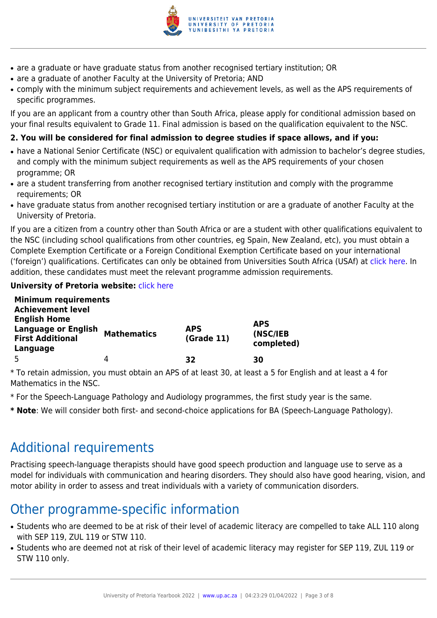

- are a graduate or have graduate status from another recognised tertiary institution; OR
- are a graduate of another Faculty at the University of Pretoria; AND
- comply with the minimum subject requirements and achievement levels, as well as the APS requirements of specific programmes.

If you are an applicant from a country other than South Africa, please apply for conditional admission based on your final results equivalent to Grade 11. Final admission is based on the qualification equivalent to the NSC.

### **2. You will be considered for final admission to degree studies if space allows, and if you:**

- have a National Senior Certificate (NSC) or equivalent qualification with admission to bachelor's degree studies, and comply with the minimum subject requirements as well as the APS requirements of your chosen programme; OR
- are a student transferring from another recognised tertiary institution and comply with the programme requirements; OR
- have graduate status from another recognised tertiary institution or are a graduate of another Faculty at the University of Pretoria.

If you are a citizen from a country other than South Africa or are a student with other qualifications equivalent to the NSC (including school qualifications from other countries, eg Spain, New Zealand, etc), you must obtain a Complete Exemption Certificate or a Foreign Conditional Exemption Certificate based on your international ('foreign') qualifications. Certificates can only be obtained from Universities South Africa (USAf) at [click here](http://www.mb.usaf.ac.za). In addition, these candidates must meet the relevant programme admission requirements.

### **University of Pretoria website: [click here](http://www.up.ac.za/faculty-of-humanities)**

| <b>Minimum requirements</b><br><b>Achievement level</b>                      |                    |                          |                                      |
|------------------------------------------------------------------------------|--------------------|--------------------------|--------------------------------------|
| <b>English Home</b><br><b>Language or English</b><br><b>First Additional</b> | <b>Mathematics</b> | <b>APS</b><br>(Grade 11) | <b>APS</b><br>(NSC/IEB<br>completed) |
| Language                                                                     |                    |                          |                                      |
|                                                                              | 4                  | 32                       | 30                                   |

\* To retain admission, you must obtain an APS of at least 30, at least a 5 for English and at least a 4 for Mathematics in the NSC.

- \* For the Speech-Language Pathology and Audiology programmes, the first study year is the same.
- **\* Note**: We will consider both first- and second-choice applications for BA (Speech-Language Pathology).

# Additional requirements

Practising speech-language therapists should have good speech production and language use to serve as a model for individuals with communication and hearing disorders. They should also have good hearing, vision, and motor ability in order to assess and treat individuals with a variety of communication disorders.

# Other programme-specific information

- Students who are deemed to be at risk of their level of academic literacy are compelled to take ALL 110 along with SEP 119, ZUL 119 or STW 110.
- Students who are deemed not at risk of their level of academic literacy may register for SEP 119, ZUL 119 or STW 110 only.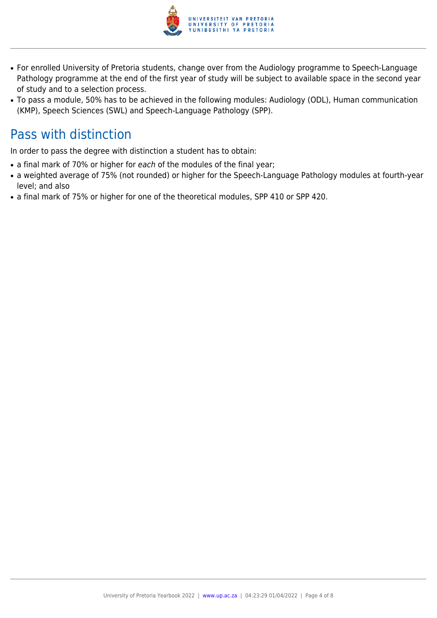

- For enrolled University of Pretoria students, change over from the Audiology programme to Speech-Language Pathology programme at the end of the first year of study will be subject to available space in the second year of study and to a selection process.
- To pass a module, 50% has to be achieved in the following modules: Audiology (ODL), Human communication (KMP), Speech Sciences (SWL) and Speech-Language Pathology (SPP).

## Pass with distinction

In order to pass the degree with distinction a student has to obtain:

- a final mark of 70% or higher for each of the modules of the final year;
- a weighted average of 75% (not rounded) or higher for the Speech-Language Pathology modules at fourth-year level; and also
- a final mark of 75% or higher for one of the theoretical modules, SPP 410 or SPP 420.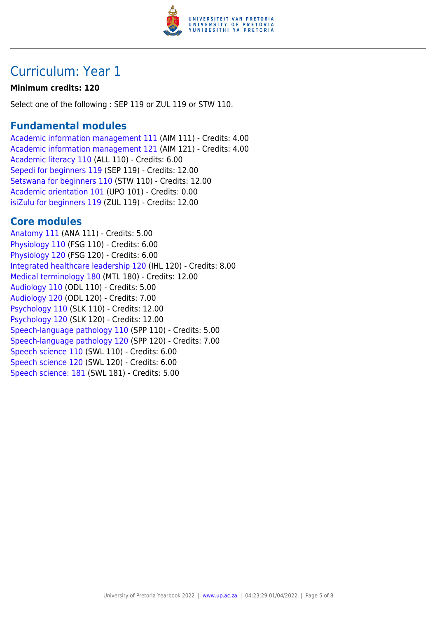

## Curriculum: Year 1

#### **Minimum credits: 120**

Select one of the following : SEP 119 or ZUL 119 or STW 110.

### **Fundamental modules**

[Academic information management 111](https://www.up.ac.za/yearbooks/2022/modules/view/AIM 111) (AIM 111) - Credits: 4.00 [Academic information management 121](https://www.up.ac.za/yearbooks/2022/modules/view/AIM 121) (AIM 121) - Credits: 4.00 [Academic literacy 110](https://www.up.ac.za/yearbooks/2022/modules/view/ALL 110) (ALL 110) - Credits: 6.00 [Sepedi for beginners 119](https://www.up.ac.za/yearbooks/2022/modules/view/SEP 119) (SEP 119) - Credits: 12.00 [Setswana for beginners 110](https://www.up.ac.za/yearbooks/2022/modules/view/STW 110) (STW 110) - Credits: 12.00 [Academic orientation 101](https://www.up.ac.za/yearbooks/2022/modules/view/UPO 101) (UPO 101) - Credits: 0.00 [isiZulu for beginners 119](https://www.up.ac.za/yearbooks/2022/modules/view/ZUL 119) (ZUL 119) - Credits: 12.00

### **Core modules**

[Anatomy 111](https://www.up.ac.za/yearbooks/2022/modules/view/ANA 111) (ANA 111) - Credits: 5.00 [Physiology 110](https://www.up.ac.za/yearbooks/2022/modules/view/FSG 110) (FSG 110) - Credits: 6.00 [Physiology 120](https://www.up.ac.za/yearbooks/2022/modules/view/FSG 120) (FSG 120) - Credits: 6.00 [Integrated healthcare leadership 120](https://www.up.ac.za/yearbooks/2022/modules/view/IHL 120) (IHL 120) - Credits: 8.00 [Medical terminology 180](https://www.up.ac.za/yearbooks/2022/modules/view/MTL 180) (MTL 180) - Credits: 12.00 [Audiology 110](https://www.up.ac.za/yearbooks/2022/modules/view/ODL 110) (ODL 110) - Credits: 5.00 [Audiology 120](https://www.up.ac.za/yearbooks/2022/modules/view/ODL 120) (ODL 120) - Credits: 7.00 [Psychology 110](https://www.up.ac.za/yearbooks/2022/modules/view/SLK 110) (SLK 110) - Credits: 12.00 [Psychology 120](https://www.up.ac.za/yearbooks/2022/modules/view/SLK 120) (SLK 120) - Credits: 12.00 [Speech-language pathology 110](https://www.up.ac.za/yearbooks/2022/modules/view/SPP 110) (SPP 110) - Credits: 5.00 [Speech-language pathology 120](https://www.up.ac.za/yearbooks/2022/modules/view/SPP 120) (SPP 120) - Credits: 7.00 [Speech science 110](https://www.up.ac.za/yearbooks/2022/modules/view/SWL 110) (SWL 110) - Credits: 6.00 [Speech science 120](https://www.up.ac.za/yearbooks/2022/modules/view/SWL 120) (SWL 120) - Credits: 6.00 [Speech science: 181](https://www.up.ac.za/yearbooks/2022/modules/view/SWL 181) (SWL 181) - Credits: 5.00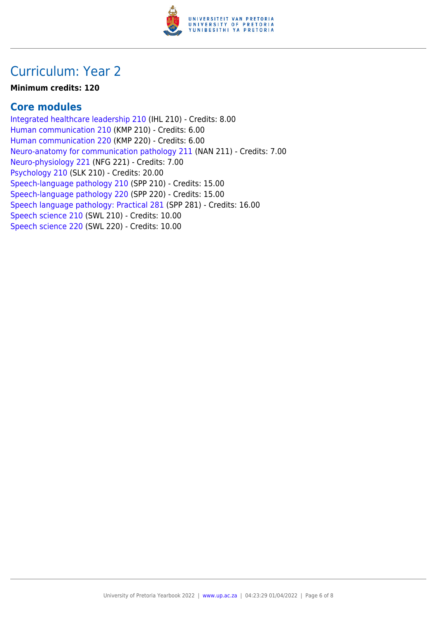

## Curriculum: Year 2

#### **Minimum credits: 120**

### **Core modules**

[Integrated healthcare leadership 210](https://www.up.ac.za/yearbooks/2022/modules/view/IHL 210) (IHL 210) - Credits: 8.00 [Human communication 210](https://www.up.ac.za/yearbooks/2022/modules/view/KMP 210) (KMP 210) - Credits: 6.00 [Human communication 220](https://www.up.ac.za/yearbooks/2022/modules/view/KMP 220) (KMP 220) - Credits: 6.00 [Neuro-anatomy for communication pathology 211](https://www.up.ac.za/yearbooks/2022/modules/view/NAN 211) (NAN 211) - Credits: 7.00 [Neuro-physiology 221](https://www.up.ac.za/yearbooks/2022/modules/view/NFG 221) (NFG 221) - Credits: 7.00 [Psychology 210](https://www.up.ac.za/yearbooks/2022/modules/view/SLK 210) (SLK 210) - Credits: 20.00 [Speech-language pathology 210](https://www.up.ac.za/yearbooks/2022/modules/view/SPP 210) (SPP 210) - Credits: 15.00 [Speech-language pathology 220](https://www.up.ac.za/yearbooks/2022/modules/view/SPP 220) (SPP 220) - Credits: 15.00 [Speech language pathology: Practical 281](https://www.up.ac.za/yearbooks/2022/modules/view/SPP 281) (SPP 281) - Credits: 16.00 [Speech science 210](https://www.up.ac.za/yearbooks/2022/modules/view/SWL 210) (SWL 210) - Credits: 10.00 [Speech science 220](https://www.up.ac.za/yearbooks/2022/modules/view/SWL 220) (SWL 220) - Credits: 10.00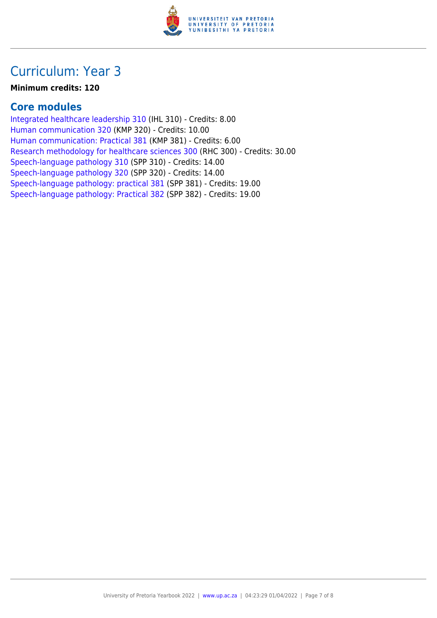

## Curriculum: Year 3

#### **Minimum credits: 120**

### **Core modules**

[Integrated healthcare leadership 310](https://www.up.ac.za/yearbooks/2022/modules/view/IHL 310) (IHL 310) - Credits: 8.00 [Human communication 320](https://www.up.ac.za/yearbooks/2022/modules/view/KMP 320) (KMP 320) - Credits: 10.00 [Human communication: Practical 381](https://www.up.ac.za/yearbooks/2022/modules/view/KMP 381) (KMP 381) - Credits: 6.00 [Research methodology for healthcare sciences 300](https://www.up.ac.za/yearbooks/2022/modules/view/RHC 300) (RHC 300) - Credits: 30.00 [Speech-language pathology 310](https://www.up.ac.za/yearbooks/2022/modules/view/SPP 310) (SPP 310) - Credits: 14.00 [Speech-language pathology 320](https://www.up.ac.za/yearbooks/2022/modules/view/SPP 320) (SPP 320) - Credits: 14.00 [Speech-language pathology: practical 381](https://www.up.ac.za/yearbooks/2022/modules/view/SPP 381) (SPP 381) - Credits: 19.00 [Speech-language pathology: Practical 382](https://www.up.ac.za/yearbooks/2022/modules/view/SPP 382) (SPP 382) - Credits: 19.00